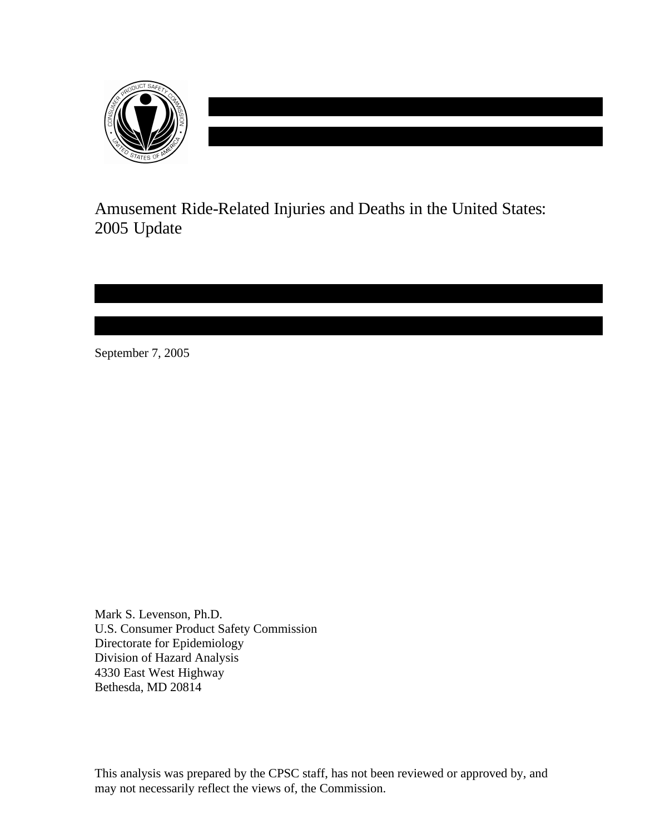

Amusement Ride-Related Injuries and Deaths in the United States: 2005 Update

September 7, 2005

Mark S. Levenson, Ph.D. U.S. Consumer Product Safety Commission Directorate for Epidemiology Division of Hazard Analysis 4330 East West Highway Bethesda, MD 20814

This analysis was prepared by the CPSC staff, has not been reviewed or approved by, and may not necessarily reflect the views of, the Commission.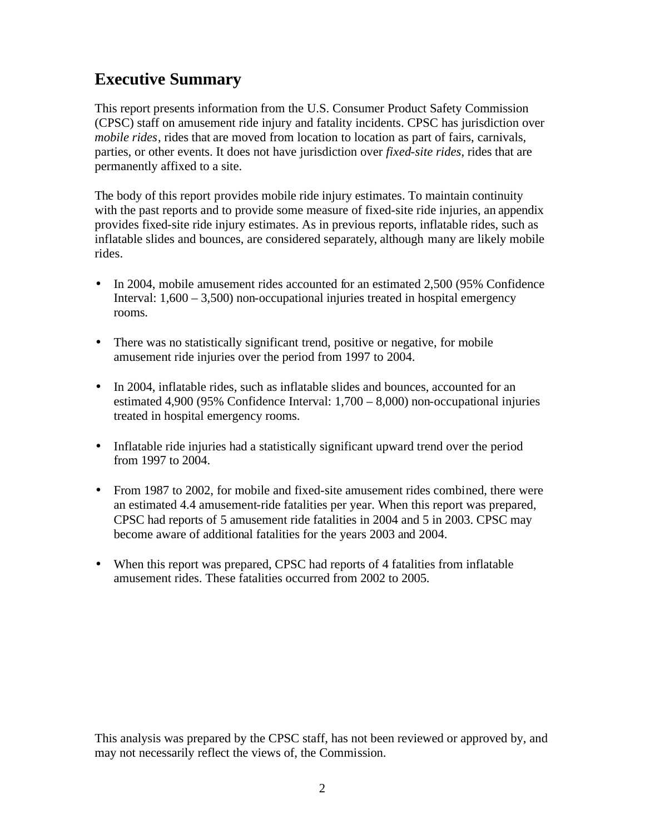## **Executive Summary**

This report presents information from the U.S. Consumer Product Safety Commission (CPSC) staff on amusement ride injury and fatality incidents. CPSC has jurisdiction over *mobile rides*, rides that are moved from location to location as part of fairs, carnivals, parties, or other events. It does not have jurisdiction over *fixed-site rides*, rides that are permanently affixed to a site.

The body of this report provides mobile ride injury estimates. To maintain continuity with the past reports and to provide some measure of fixed-site ride injuries, an appendix provides fixed-site ride injury estimates. As in previous reports, inflatable rides, such as inflatable slides and bounces, are considered separately, although many are likely mobile rides.

- In 2004, mobile amusement rides accounted for an estimated 2,500 (95% Confidence Interval:  $1,600 - 3,500$  non-occupational injuries treated in hospital emergency rooms.
- There was no statistically significant trend, positive or negative, for mobile amusement ride injuries over the period from 1997 to 2004.
- In 2004, inflatable rides, such as inflatable slides and bounces, accounted for an estimated 4,900 (95% Confidence Interval: 1,700 – 8,000) non-occupational injuries treated in hospital emergency rooms.
- Inflatable ride injuries had a statistically significant upward trend over the period from 1997 to 2004.
- From 1987 to 2002, for mobile and fixed-site amusement rides combined, there were an estimated 4.4 amusement-ride fatalities per year. When this report was prepared, CPSC had reports of 5 amusement ride fatalities in 2004 and 5 in 2003. CPSC may become aware of additional fatalities for the years 2003 and 2004.
- When this report was prepared, CPSC had reports of 4 fatalities from inflatable amusement rides. These fatalities occurred from 2002 to 2005.

This analysis was prepared by the CPSC staff, has not been reviewed or approved by, and may not necessarily reflect the views of, the Commission.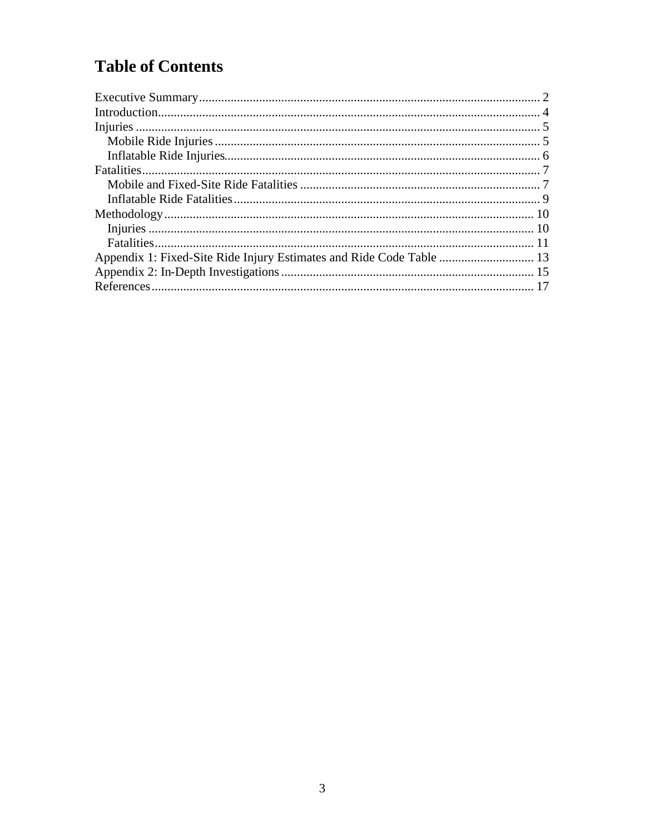# **Table of Contents**

| Appendix 1: Fixed-Site Ride Injury Estimates and Ride Code Table  13 |  |
|----------------------------------------------------------------------|--|
|                                                                      |  |
|                                                                      |  |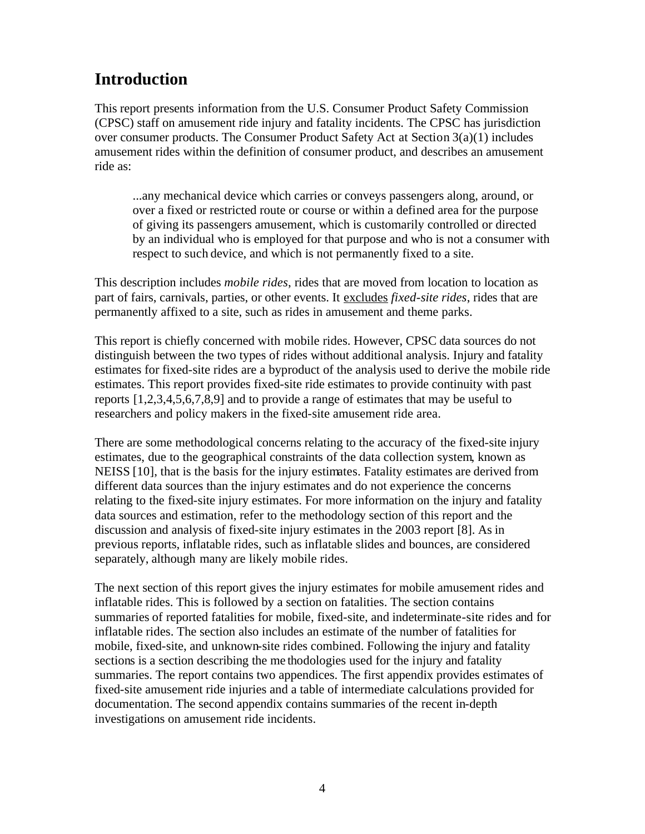# **Introduction**

This report presents information from the U.S. Consumer Product Safety Commission (CPSC) staff on amusement ride injury and fatality incidents. The CPSC has jurisdiction over consumer products. The Consumer Product Safety Act at Section 3(a)(1) includes amusement rides within the definition of consumer product, and describes an amusement ride as:

...any mechanical device which carries or conveys passengers along, around, or over a fixed or restricted route or course or within a defined area for the purpose of giving its passengers amusement, which is customarily controlled or directed by an individual who is employed for that purpose and who is not a consumer with respect to such device, and which is not permanently fixed to a site.

This description includes *mobile rides*, rides that are moved from location to location as part of fairs, carnivals, parties, or other events. It excludes *fixed-site rides*, rides that are permanently affixed to a site, such as rides in amusement and theme parks.

This report is chiefly concerned with mobile rides. However, CPSC data sources do not distinguish between the two types of rides without additional analysis. Injury and fatality estimates for fixed-site rides are a byproduct of the analysis used to derive the mobile ride estimates. This report provides fixed-site ride estimates to provide continuity with past reports [1,2,3,4,5,6,7,8,9] and to provide a range of estimates that may be useful to researchers and policy makers in the fixed-site amusement ride area.

There are some methodological concerns relating to the accuracy of the fixed-site injury estimates, due to the geographical constraints of the data collection system, known as NEISS [10], that is the basis for the injury estimates. Fatality estimates are derived from different data sources than the injury estimates and do not experience the concerns relating to the fixed-site injury estimates. For more information on the injury and fatality data sources and estimation, refer to the methodology section of this report and the discussion and analysis of fixed-site injury estimates in the 2003 report [8]. As in previous reports, inflatable rides, such as inflatable slides and bounces, are considered separately, although many are likely mobile rides.

The next section of this report gives the injury estimates for mobile amusement rides and inflatable rides. This is followed by a section on fatalities. The section contains summaries of reported fatalities for mobile, fixed-site, and indeterminate-site rides and for inflatable rides. The section also includes an estimate of the number of fatalities for mobile, fixed-site, and unknown-site rides combined. Following the injury and fatality sections is a section describing the me thodologies used for the injury and fatality summaries. The report contains two appendices. The first appendix provides estimates of fixed-site amusement ride injuries and a table of intermediate calculations provided for documentation. The second appendix contains summaries of the recent in-depth investigations on amusement ride incidents.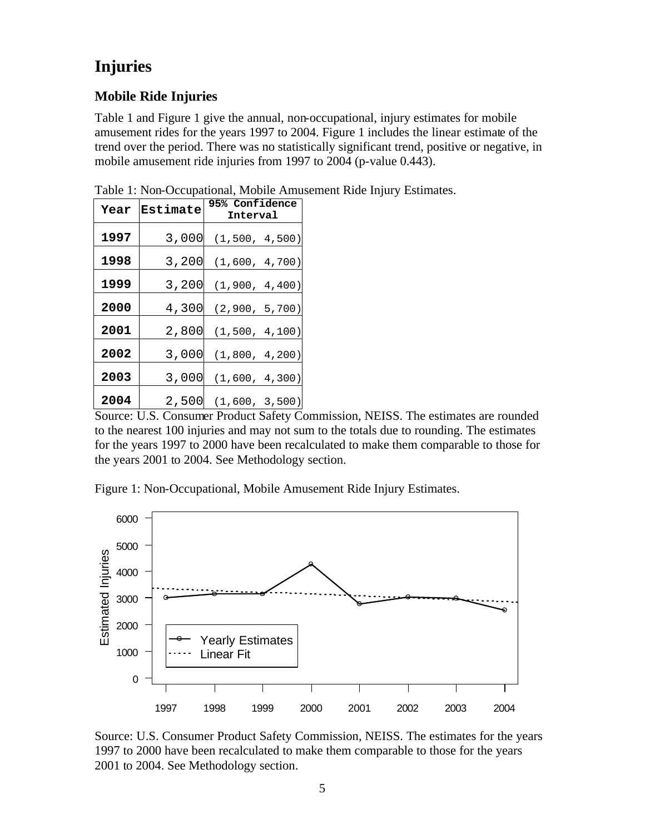# **Injuries**

### **Mobile Ride Injuries**

Table 1 and Figure 1 give the annual, non-occupational, injury estimates for mobile amusement rides for the years 1997 to 2004. Figure 1 includes the linear estimate of the trend over the period. There was no statistically significant trend, positive or negative, in mobile amusement ride injuries from 1997 to 2004 (p-value 0.443).

| Year | Estimate | <b>95% Confidence</b><br>Interval |
|------|----------|-----------------------------------|
| 1997 | 3,000    | (1, 500, 4, 500)                  |
| 1998 | 3,200    | (1,600, 4,700)                    |
| 1999 | 3,200    | (1,900, 4,400)                    |
| 2000 | 4,300    | (2,900, 5,700)                    |
| 2001 | 2,800    | (1, 500, 4, 100)                  |
| 2002 | 3,000    | (1,800, 4,200)                    |
| 2003 | 3,000    | (1,600, 4,300)                    |
| 2004 | 2,500    | (1,600, 3,500)                    |

Table 1: Non-Occupational, Mobile Amusement Ride Injury Estimates.

Source: U.S. Consumer Product Safety Commission, NEISS. The estimates are rounded to the nearest 100 injuries and may not sum to the totals due to rounding. The estimates for the years 1997 to 2000 have been recalculated to make them comparable to those for the years 2001 to 2004. See Methodology section.

Figure 1: Non-Occupational, Mobile Amusement Ride Injury Estimates.



Source: U.S. Consumer Product Safety Commission, NEISS. The estimates for the years 1997 to 2000 have been recalculated to make them comparable to those for the years 2001 to 2004. See Methodology section.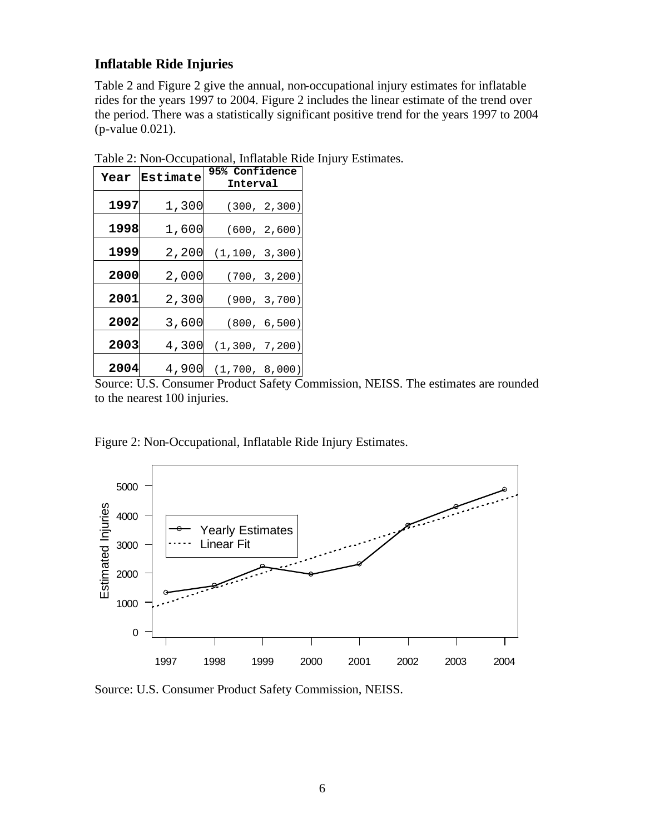#### **Inflatable Ride Injuries**

Table 2 and Figure 2 give the annual, non-occupational injury estimates for inflatable rides for the years 1997 to 2004. Figure 2 includes the linear estimate of the trend over the period. There was a statistically significant positive trend for the years 1997 to 2004 (p-value 0.021).

| Year | Estimate | <b>95% Confidence</b> |
|------|----------|-----------------------|
|      |          | Interval              |
| 1997 | 1,300    | (300, 2, 300)         |
| 1998 | 1,600    | (600, 2,600)          |
| 1999 | 2,200    | (1, 100, 3, 300)      |
| 2000 | 2,000    | (700, 3, 200)         |
| 2001 | 2,300    | (900, 3, 700)         |
| 2002 | 3,600    | (800, 6, 500)         |
| 2003 | 4,300    | (1, 300, 7, 200)      |
| 2004 | 4,900    | (1, 700, 8, 000)      |

Table 2: Non-Occupational, Inflatable Ride Injury Estimates.

Source: U.S. Consumer Product Safety Commission, NEISS. The estimates are rounded to the nearest 100 injuries.

Figure 2: Non-Occupational, Inflatable Ride Injury Estimates.



Source: U.S. Consumer Product Safety Commission, NEISS.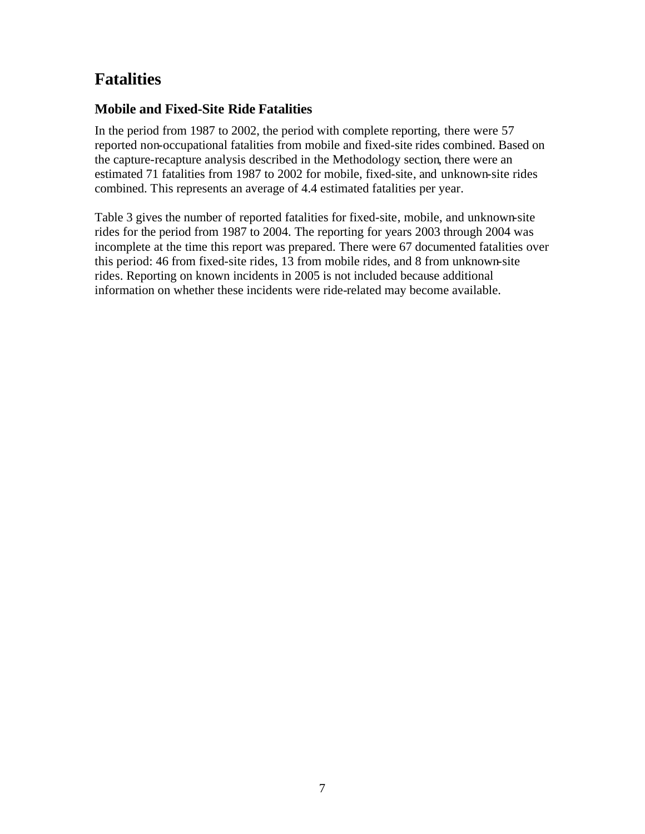# **Fatalities**

#### **Mobile and Fixed-Site Ride Fatalities**

In the period from 1987 to 2002, the period with complete reporting, there were 57 reported non-occupational fatalities from mobile and fixed-site rides combined. Based on the capture-recapture analysis described in the Methodology section, there were an estimated 71 fatalities from 1987 to 2002 for mobile, fixed-site, and unknown-site rides combined. This represents an average of 4.4 estimated fatalities per year.

Table 3 gives the number of reported fatalities for fixed-site, mobile, and unknown-site rides for the period from 1987 to 2004. The reporting for years 2003 through 2004 was incomplete at the time this report was prepared. There were 67 documented fatalities over this period: 46 from fixed-site rides, 13 from mobile rides, and 8 from unknown-site rides. Reporting on known incidents in 2005 is not included because additional information on whether these incidents were ride-related may become available.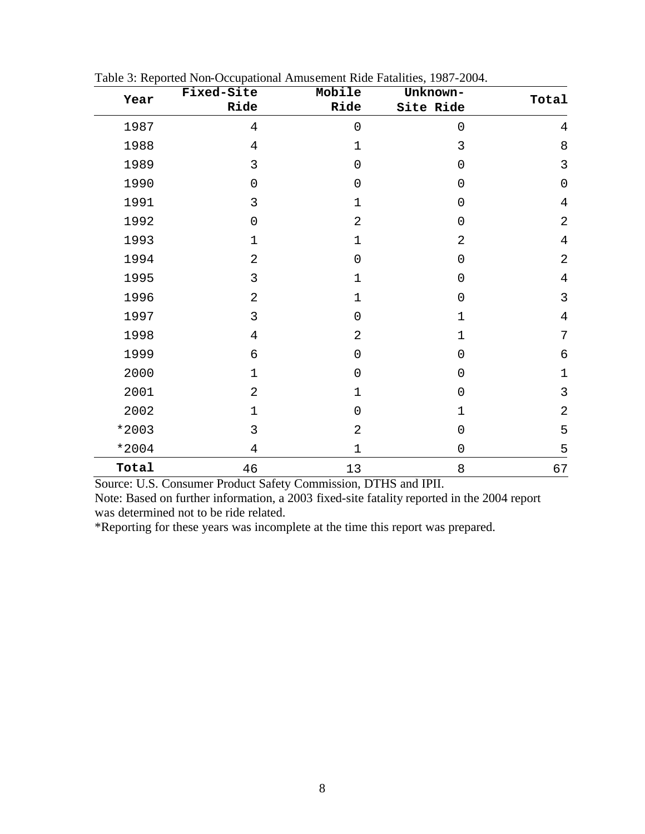| Year  | Fixed-Site          | Mobile              | Unknown-            | Total          |
|-------|---------------------|---------------------|---------------------|----------------|
|       | Ride                | Ride                | Site Ride           |                |
| 1987  | $\overline{4}$      | $\mathbf 0$         | $\mathbf 0$         | $\overline{4}$ |
| 1988  | $\overline{4}$      | 1                   | 3                   | 8              |
| 1989  | 3                   | $\mathbf 0$         | $\mathbf 0$         | $\mathfrak{Z}$ |
| 1990  | 0                   | $\mathbf 0$         | $\mathbf 0$         | $\mathbf 0$    |
| 1991  | 3                   | $\mathbf 1$         | $\mathbf 0$         | $\overline{4}$ |
| 1992  | $\mathsf{O}\xspace$ | $\overline{2}$      | $\mathsf{O}\xspace$ | $\overline{2}$ |
| 1993  | 1                   | $\mathbf 1$         | $\overline{2}$      | $\overline{4}$ |
| 1994  | $\overline{2}$      | $\mathbf 0$         | $\mathbf 0$         | $\overline{2}$ |
| 1995  | 3                   | 1                   | $\mathbf 0$         | $\overline{4}$ |
| 1996  | $\overline{2}$      | $\mathbf 1$         | $\mathbf 0$         | $\mathbf{3}$   |
| 1997  | 3                   | $\mathbf 0$         | $\mathbf 1$         | $\overline{4}$ |
| 1998  | 4                   | $\overline{2}$      | $\mathbf 1$         | 7              |
| 1999  | 6                   | $\mathsf{O}\xspace$ | $\mathsf{O}\xspace$ | $\epsilon$     |
| 2000  | $\mathbf 1$         | $\mathbf 0$         | $\mathbf 0$         | $\mathbf 1$    |
| 2001  | $\overline{2}$      | $\mathbf 1$         | $\mathbf 0$         | $\overline{3}$ |
| 2002  | $\mathbf 1$         | 0                   | $\mathbf 1$         | $\overline{2}$ |
| *2003 | 3                   | $\overline{2}$      | $\mathbf 0$         | 5              |
| *2004 | 4                   | $\mathbf 1$         | $\mathsf{O}\xspace$ | 5              |
| Total | 46                  | 13                  | 8                   | 67             |

| Table 3: Reported Non-Occupational Amusement Ride Fatalities, 1987-2004. |  |  |
|--------------------------------------------------------------------------|--|--|
|--------------------------------------------------------------------------|--|--|

Source: U.S. Consumer Product Safety Commission, DTHS and IPII.

Note: Based on further information, a 2003 fixed-site fatality reported in the 2004 report was determined not to be ride related.

\*Reporting for these years was incomplete at the time this report was prepared.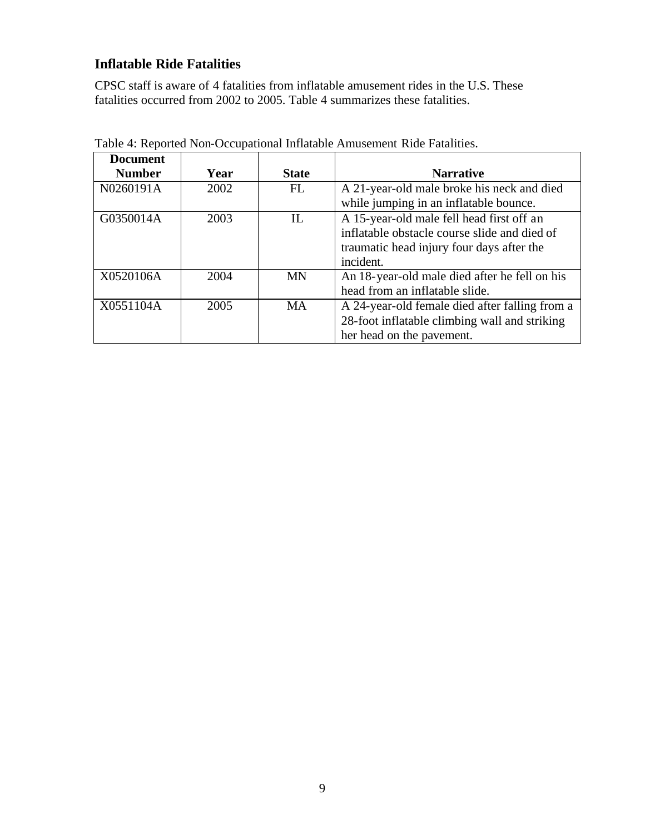#### **Inflatable Ride Fatalities**

CPSC staff is aware of 4 fatalities from inflatable amusement rides in the U.S. These fatalities occurred from 2002 to 2005. Table 4 summarizes these fatalities.

| <b>Document</b> |      |              |                                                |
|-----------------|------|--------------|------------------------------------------------|
| <b>Number</b>   | Year | <b>State</b> | <b>Narrative</b>                               |
| N0260191A       | 2002 | FL           | A 21-year-old male broke his neck and died     |
|                 |      |              | while jumping in an inflatable bounce.         |
| G0350014A       | 2003 | IL           | A 15-year-old male fell head first off an      |
|                 |      |              | inflatable obstacle course slide and died of   |
|                 |      |              | traumatic head injury four days after the      |
|                 |      |              | incident.                                      |
| X0520106A       | 2004 | <b>MN</b>    | An 18-year-old male died after he fell on his  |
|                 |      |              | head from an inflatable slide.                 |
| X0551104A       | 2005 | <b>MA</b>    | A 24-year-old female died after falling from a |
|                 |      |              | 28-foot inflatable climbing wall and striking  |
|                 |      |              | her head on the pavement.                      |

Table 4: Reported Non-Occupational Inflatable Amusement Ride Fatalities.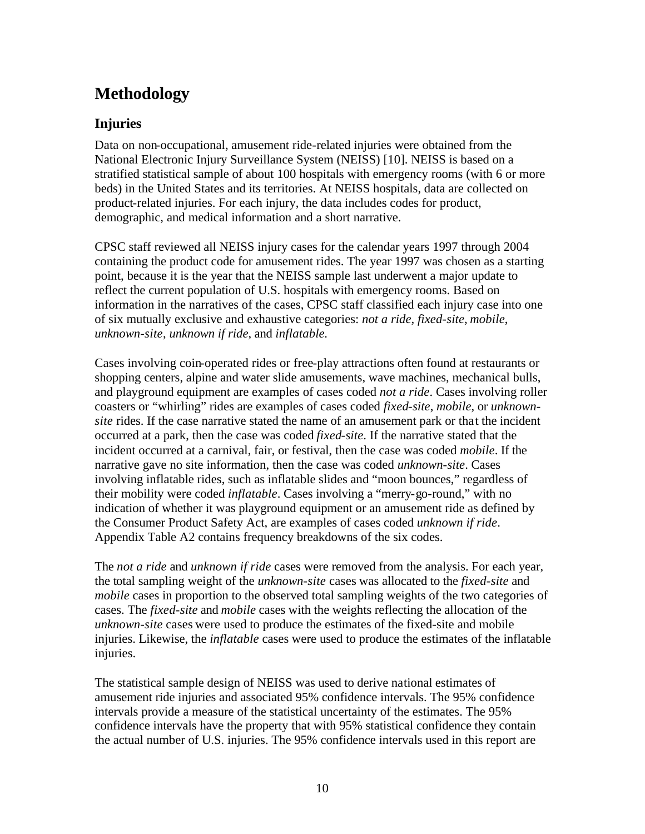## **Methodology**

#### **Injuries**

Data on non-occupational, amusement ride-related injuries were obtained from the National Electronic Injury Surveillance System (NEISS) [10]. NEISS is based on a stratified statistical sample of about 100 hospitals with emergency rooms (with 6 or more beds) in the United States and its territories. At NEISS hospitals, data are collected on product-related injuries. For each injury, the data includes codes for product, demographic, and medical information and a short narrative.

CPSC staff reviewed all NEISS injury cases for the calendar years 1997 through 2004 containing the product code for amusement rides. The year 1997 was chosen as a starting point, because it is the year that the NEISS sample last underwent a major update to reflect the current population of U.S. hospitals with emergency rooms. Based on information in the narratives of the cases, CPSC staff classified each injury case into one of six mutually exclusive and exhaustive categories: *not a ride, fixed-site*, *mobile*, *unknown-site*, *unknown if ride*, and *inflatable.*

Cases involving coin-operated rides or free-play attractions often found at restaurants or shopping centers, alpine and water slide amusements, wave machines, mechanical bulls, and playground equipment are examples of cases coded *not a ride*. Cases involving roller coasters or "whirling" rides are examples of cases coded *fixed-site*, *mobile*, or *unknownsite* rides. If the case narrative stated the name of an amusement park or that the incident occurred at a park, then the case was coded *fixed-site*. If the narrative stated that the incident occurred at a carnival, fair, or festival, then the case was coded *mobile*. If the narrative gave no site information, then the case was coded *unknown-site*. Cases involving inflatable rides, such as inflatable slides and "moon bounces," regardless of their mobility were coded *inflatable*. Cases involving a "merry-go-round," with no indication of whether it was playground equipment or an amusement ride as defined by the Consumer Product Safety Act, are examples of cases coded *unknown if ride*. Appendix Table A2 contains frequency breakdowns of the six codes.

The *not a ride* and *unknown if ride* cases were removed from the analysis. For each year, the total sampling weight of the *unknown-site* cases was allocated to the *fixed-site* and *mobile* cases in proportion to the observed total sampling weights of the two categories of cases. The *fixed-site* and *mobile* cases with the weights reflecting the allocation of the *unknown-site* cases were used to produce the estimates of the fixed-site and mobile injuries. Likewise, the *inflatable* cases were used to produce the estimates of the inflatable injuries.

The statistical sample design of NEISS was used to derive national estimates of amusement ride injuries and associated 95% confidence intervals. The 95% confidence intervals provide a measure of the statistical uncertainty of the estimates. The 95% confidence intervals have the property that with 95% statistical confidence they contain the actual number of U.S. injuries. The 95% confidence intervals used in this report are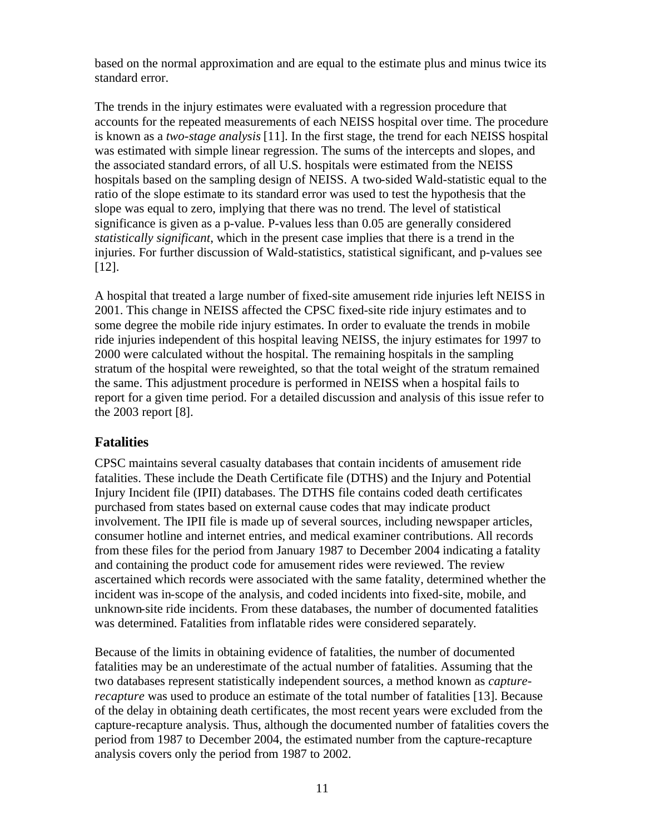based on the normal approximation and are equal to the estimate plus and minus twice its standard error.

The trends in the injury estimates were evaluated with a regression procedure that accounts for the repeated measurements of each NEISS hospital over time. The procedure is known as a *two-stage analysis* [11]. In the first stage, the trend for each NEISS hospital was estimated with simple linear regression. The sums of the intercepts and slopes, and the associated standard errors, of all U.S. hospitals were estimated from the NEISS hospitals based on the sampling design of NEISS. A two-sided Wald-statistic equal to the ratio of the slope estimate to its standard error was used to test the hypothesis that the slope was equal to zero, implying that there was no trend. The level of statistical significance is given as a p-value. P-values less than 0.05 are generally considered *statistically significant*, which in the present case implies that there is a trend in the injuries. For further discussion of Wald-statistics, statistical significant, and p-values see [12].

A hospital that treated a large number of fixed-site amusement ride injuries left NEISS in 2001. This change in NEISS affected the CPSC fixed-site ride injury estimates and to some degree the mobile ride injury estimates. In order to evaluate the trends in mobile ride injuries independent of this hospital leaving NEISS, the injury estimates for 1997 to 2000 were calculated without the hospital. The remaining hospitals in the sampling stratum of the hospital were reweighted, so that the total weight of the stratum remained the same. This adjustment procedure is performed in NEISS when a hospital fails to report for a given time period. For a detailed discussion and analysis of this issue refer to the 2003 report [8].

#### **Fatalities**

CPSC maintains several casualty databases that contain incidents of amusement ride fatalities. These include the Death Certificate file (DTHS) and the Injury and Potential Injury Incident file (IPII) databases. The DTHS file contains coded death certificates purchased from states based on external cause codes that may indicate product involvement. The IPII file is made up of several sources, including newspaper articles, consumer hotline and internet entries, and medical examiner contributions. All records from these files for the period from January 1987 to December 2004 indicating a fatality and containing the product code for amusement rides were reviewed. The review ascertained which records were associated with the same fatality, determined whether the incident was in-scope of the analysis, and coded incidents into fixed-site, mobile, and unknown-site ride incidents. From these databases, the number of documented fatalities was determined. Fatalities from inflatable rides were considered separately.

Because of the limits in obtaining evidence of fatalities, the number of documented fatalities may be an underestimate of the actual number of fatalities. Assuming that the two databases represent statistically independent sources, a method known as *capturerecapture* was used to produce an estimate of the total number of fatalities [13]. Because of the delay in obtaining death certificates, the most recent years were excluded from the capture-recapture analysis. Thus, although the documented number of fatalities covers the period from 1987 to December 2004, the estimated number from the capture-recapture analysis covers only the period from 1987 to 2002.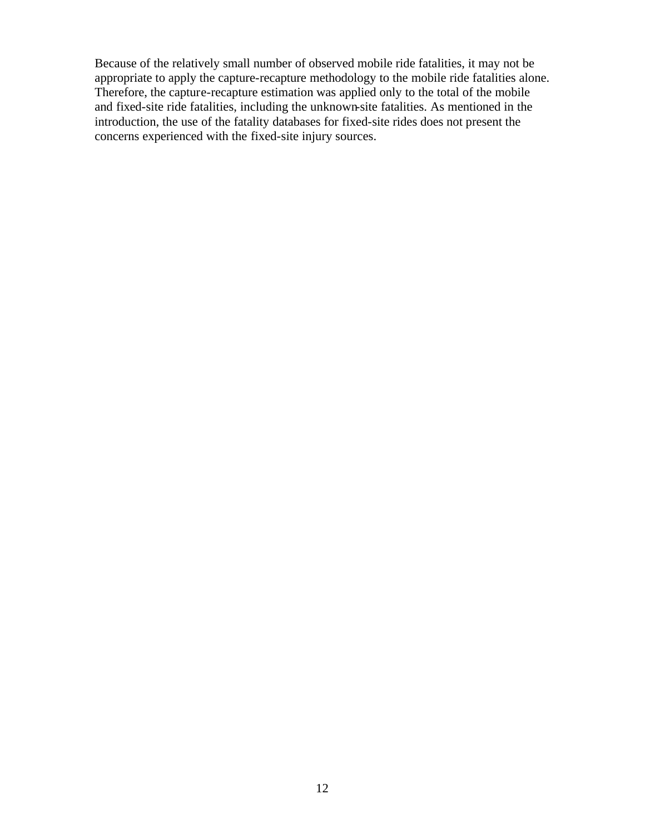Because of the relatively small number of observed mobile ride fatalities, it may not be appropriate to apply the capture-recapture methodology to the mobile ride fatalities alone. Therefore, the capture-recapture estimation was applied only to the total of the mobile and fixed-site ride fatalities, including the unknown-site fatalities. As mentioned in the introduction, the use of the fatality databases for fixed-site rides does not present the concerns experienced with the fixed-site injury sources.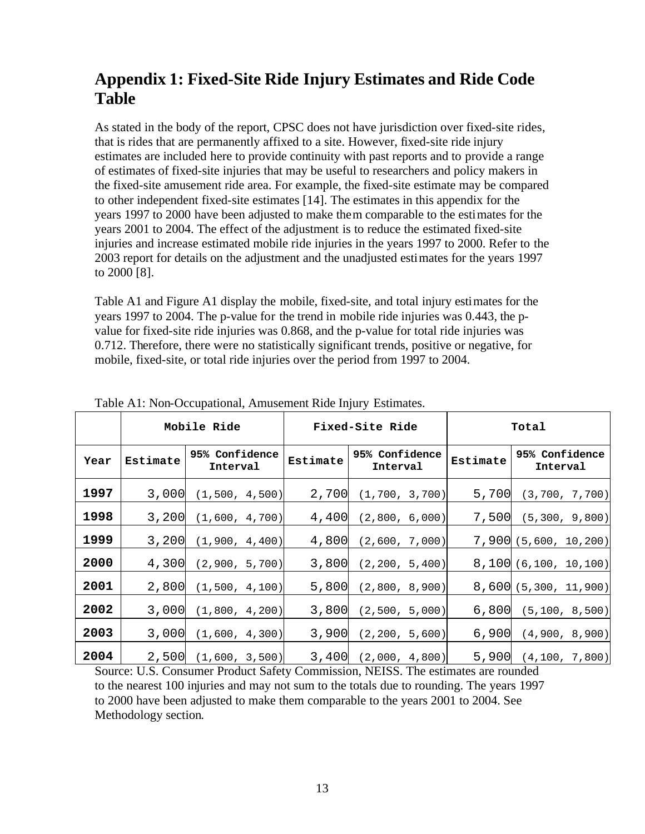## **Appendix 1: Fixed-Site Ride Injury Estimates and Ride Code Table**

As stated in the body of the report, CPSC does not have jurisdiction over fixed-site rides, that is rides that are permanently affixed to a site. However, fixed-site ride injury estimates are included here to provide continuity with past reports and to provide a range of estimates of fixed-site injuries that may be useful to researchers and policy makers in the fixed-site amusement ride area. For example, the fixed-site estimate may be compared to other independent fixed-site estimates [14]. The estimates in this appendix for the years 1997 to 2000 have been adjusted to make them comparable to the estimates for the years 2001 to 2004. The effect of the adjustment is to reduce the estimated fixed-site injuries and increase estimated mobile ride injuries in the years 1997 to 2000. Refer to the 2003 report for details on the adjustment and the unadjusted estimates for the years 1997 to 2000 [8].

Table A1 and Figure A1 display the mobile, fixed-site, and total injury estimates for the years 1997 to 2004. The p-value for the trend in mobile ride injuries was 0.443, the pvalue for fixed-site ride injuries was 0.868, and the p-value for total ride injuries was 0.712. Therefore, there were no statistically significant trends, positive or negative, for mobile, fixed-site, or total ride injuries over the period from 1997 to 2004.

|      |          | Mobile Ride                |          | Fixed-Site Ride            | Total    |                            |
|------|----------|----------------------------|----------|----------------------------|----------|----------------------------|
| Year | Estimate | 95% Confidence<br>Interval | Estimate | 95% Confidence<br>Interval | Estimate | 95% Confidence<br>Interval |
| 1997 | 3,000    | (1, 500, 4, 500)           | 2,700    | (1, 700, 3, 700)           | 5,700    | (3, 700, 7, 700)           |
| 1998 | 3,200    | (1,600, 4,700)             | 4,400    | (2,800, 6,000)             | 7,500    | (5, 300, 9, 800)           |
| 1999 | 3,200    | (1,900, 4,400)             | 4,800    | (2,600, 7,000)             |          | 7,900(5,600, 10,200)       |
| 2000 | 4,300    | (2,900, 5,700)             | 3,800    | (2, 200, 5, 400)           |          | 8,100(6,100, 10,100)       |
| 2001 | 2,800    | (1,500, 4,100)             | 5,800    | (2,800, 8,900)             |          | 8,600(5,300, 11,900)       |
| 2002 | 3,000    | (1,800, 4,200)             | 3,800    | (2,500, 5,000)             | 6,800    | (5, 100, 8, 500)           |
| 2003 | 3,000    | (1,600, 4,300)             | 3,900    | (2, 200, 5, 600)           | 6,900    | (4,900, 8,900)             |
| 2004 | 2,500    | (1,600, 3,500)             | 3,400    | (2,000, 4,800)             | 5,900    | (4, 100, 7, 800)           |

Table A1: Non-Occupational, Amusement Ride Injury Estimates.

Source: U.S. Consumer Product Safety Commission, NEISS. The estimates are rounded to the nearest 100 injuries and may not sum to the totals due to rounding. The years 1997 to 2000 have been adjusted to make them comparable to the years 2001 to 2004. See Methodology section.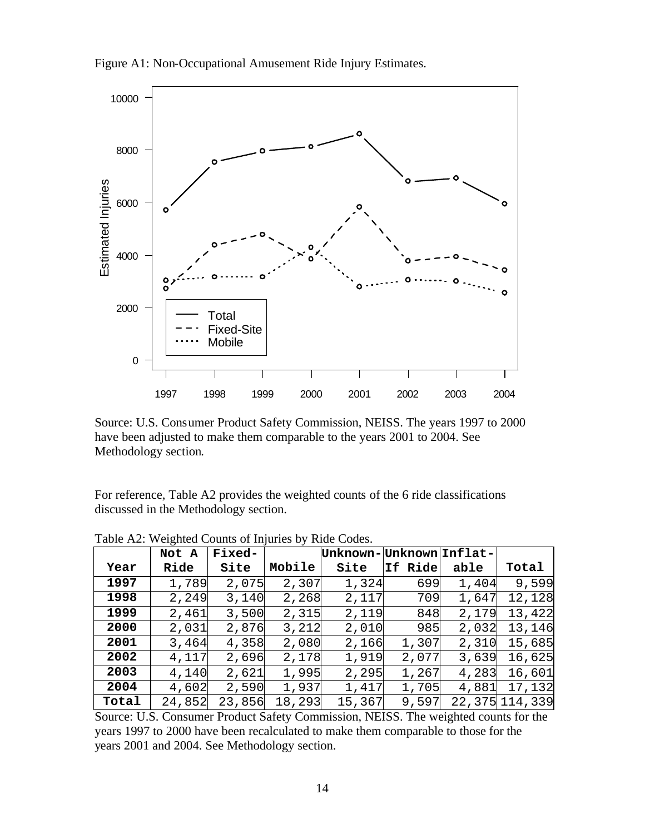



Source: U.S. Consumer Product Safety Commission, NEISS. The years 1997 to 2000 have been adjusted to make them comparable to the years 2001 to 2004. See Methodology section.

For reference, Table A2 provides the weighted counts of the 6 ride classifications discussed in the Methodology section.

|       | Not A  | <b>Fixed-</b> |        | Unknown- Unknown Inflat- |         |       |                  |
|-------|--------|---------------|--------|--------------------------|---------|-------|------------------|
| Year  | Ride   | Site          | Mobile | Site                     | If Ride | able  | Total            |
| 1997  | 1,789  | 2,075         | 2,307  | 1,324                    | 699     | 1,404 | 9,599            |
| 1998  | 2,249  | 3,140         | 2,268  | 2,117                    | 709     | 1,647 | 12,128           |
| 1999  | 2,461  | 3,500         | 2,315  | 2,119                    | 848     | 2,179 | 13,422           |
| 2000  | 2,031  | 2,876         | 3,212  | 2,010                    | 985     | 2,032 | 13,146           |
| 2001  | 3,464  | 4,358         | 2,080  | 2,166                    | 1,307   | 2,310 | 15,685           |
| 2002  | 4,117  | 2,696         | 2,178  | 1,919                    | 2,077   | 3,639 | 16,625           |
| 2003  | 4,140  | 2,621         | 1,995  | 2,295                    | 1,267   | 4,283 | 16,601           |
| 2004  | 4,602  | 2,590         | 1,937  | 1,417                    | 1,705   | 4,881 | 17,132           |
| Total | 24,852 | 23,856        | 18,293 | 15,367                   | 9,597   |       | 22, 375 114, 339 |

Table A2: Weighted Counts of Injuries by Ride Codes.

Source: U.S. Consumer Product Safety Commission, NEISS. The weighted counts for the years 1997 to 2000 have been recalculated to make them comparable to those for the years 2001 and 2004. See Methodology section.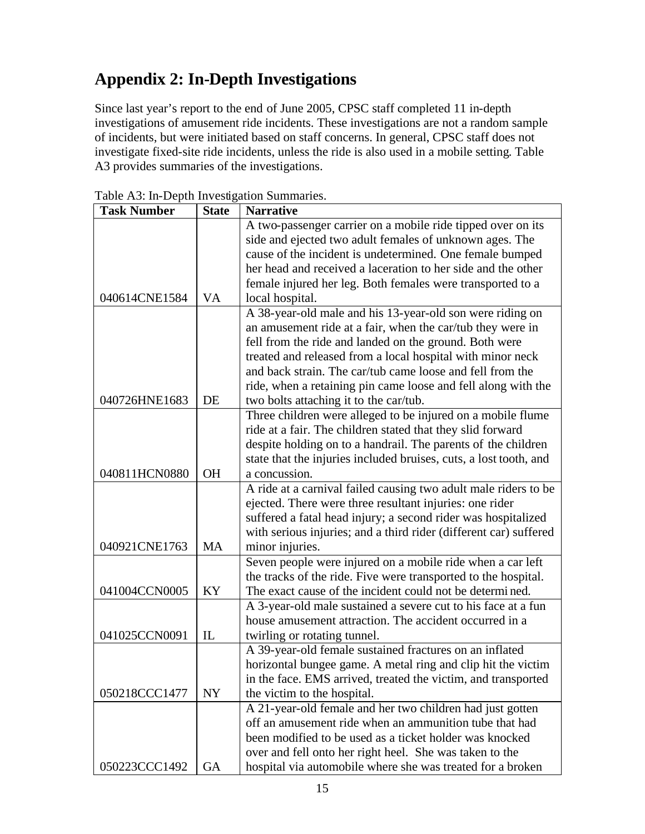# **Appendix 2: In-Depth Investigations**

Since last year's report to the end of June 2005, CPSC staff completed 11 in-depth investigations of amusement ride incidents. These investigations are not a random sample of incidents, but were initiated based on staff concerns. In general, CPSC staff does not investigate fixed-site ride incidents, unless the ride is also used in a mobile setting. Table A3 provides summaries of the investigations.

| <b>Task Number</b> | <b>State</b> | <b>Narrative</b>                                                  |
|--------------------|--------------|-------------------------------------------------------------------|
|                    |              | A two-passenger carrier on a mobile ride tipped over on its       |
|                    |              | side and ejected two adult females of unknown ages. The           |
|                    |              | cause of the incident is undetermined. One female bumped          |
|                    |              | her head and received a laceration to her side and the other      |
|                    |              | female injured her leg. Both females were transported to a        |
| 040614CNE1584      | <b>VA</b>    | local hospital.                                                   |
|                    |              | A 38-year-old male and his 13-year-old son were riding on         |
|                    |              | an amusement ride at a fair, when the car/tub they were in        |
|                    |              | fell from the ride and landed on the ground. Both were            |
|                    |              | treated and released from a local hospital with minor neck        |
|                    |              | and back strain. The car/tub came loose and fell from the         |
|                    |              | ride, when a retaining pin came loose and fell along with the     |
| 040726HNE1683      | DE           | two bolts attaching it to the car/tub.                            |
|                    |              | Three children were alleged to be injured on a mobile flume       |
|                    |              | ride at a fair. The children stated that they slid forward        |
|                    |              | despite holding on to a handrail. The parents of the children     |
|                    |              | state that the injuries included bruises, cuts, a lost tooth, and |
| 040811HCN0880      | <b>OH</b>    | a concussion.                                                     |
|                    |              | A ride at a carnival failed causing two adult male riders to be   |
|                    |              | ejected. There were three resultant injuries: one rider           |
|                    |              | suffered a fatal head injury; a second rider was hospitalized     |
|                    |              | with serious injuries; and a third rider (different car) suffered |
| 040921CNE1763      | <b>MA</b>    | minor injuries.                                                   |
|                    |              | Seven people were injured on a mobile ride when a car left        |
|                    |              | the tracks of the ride. Five were transported to the hospital.    |
| 041004CCN0005      | KY           | The exact cause of the incident could not be determined.          |
|                    |              | A 3-year-old male sustained a severe cut to his face at a fun     |
|                    |              | house amusement attraction. The accident occurred in a            |
| 041025CCN0091      | IL           | twirling or rotating tunnel.                                      |
|                    |              | A 39-year-old female sustained fractures on an inflated           |
|                    |              | horizontal bungee game. A metal ring and clip hit the victim      |
|                    |              | in the face. EMS arrived, treated the victim, and transported     |
| 050218CCC1477      | <b>NY</b>    | the victim to the hospital.                                       |
|                    |              | A 21-year-old female and her two children had just gotten         |
|                    |              | off an amusement ride when an ammunition tube that had            |
|                    |              | been modified to be used as a ticket holder was knocked           |
|                    |              | over and fell onto her right heel. She was taken to the           |
| 050223CCC1492      | <b>GA</b>    | hospital via automobile where she was treated for a broken        |

Table A3: In-Depth Investigation Summaries.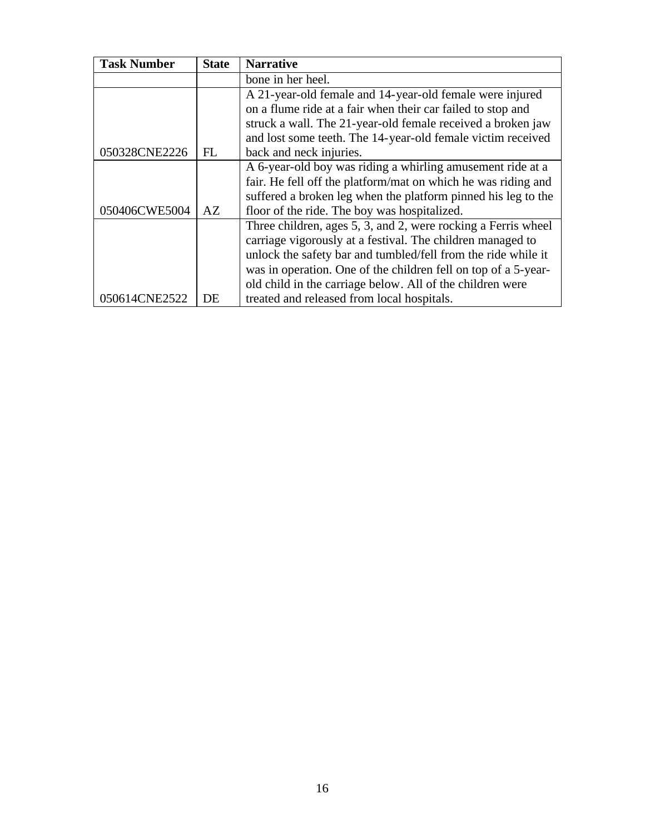| <b>Task Number</b> | <b>State</b> | <b>Narrative</b>                                               |
|--------------------|--------------|----------------------------------------------------------------|
|                    |              | bone in her heel.                                              |
|                    |              | A 21-year-old female and 14-year-old female were injured       |
|                    |              | on a flume ride at a fair when their car failed to stop and    |
|                    |              | struck a wall. The 21-year-old female received a broken jaw    |
|                    |              | and lost some teeth. The 14-year-old female victim received    |
| 050328CNE2226      | FL           | back and neck injuries.                                        |
|                    |              | A 6-year-old boy was riding a whirling amusement ride at a     |
|                    |              | fair. He fell off the platform/mat on which he was riding and  |
|                    |              | suffered a broken leg when the platform pinned his leg to the  |
| 050406CWE5004      | AZ           | floor of the ride. The boy was hospitalized.                   |
|                    |              | Three children, ages 5, 3, and 2, were rocking a Ferris wheel  |
|                    |              | carriage vigorously at a festival. The children managed to     |
|                    |              | unlock the safety bar and tumbled/fell from the ride while it  |
|                    |              | was in operation. One of the children fell on top of a 5-year- |
|                    |              | old child in the carriage below. All of the children were      |
| 050614CNE2522      | DE           | treated and released from local hospitals.                     |